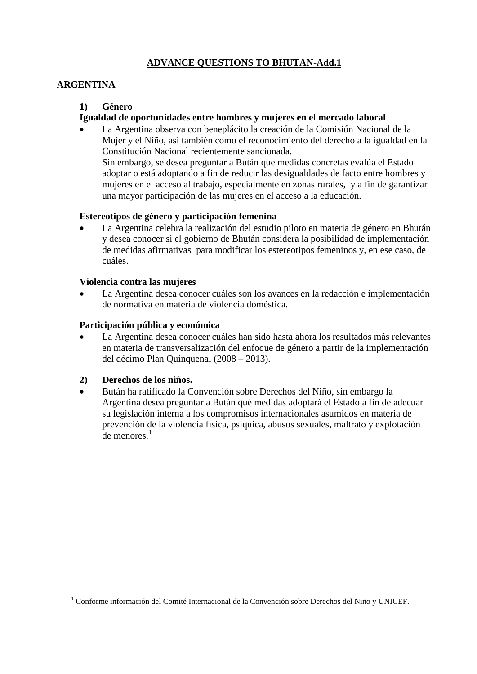# **ADVANCE QUESTIONS TO BHUTAN-Add.1**

## **ARGENTINA**

### **1) Género**

## **Igualdad de oportunidades entre hombres y mujeres en el mercado laboral**

una mayor participación de las mujeres en el acceso a la educación.

 La Argentina observa con beneplácito la creación de la Comisión Nacional de la Mujer y el Niño, así también como el reconocimiento del derecho a la igualdad en la Constitución Nacional recientemente sancionada. Sin embargo, se desea preguntar a Bután que medidas concretas evalúa el Estado adoptar o está adoptando a fin de reducir las desigualdades de facto entre hombres y mujeres en el acceso al trabajo, especialmente en zonas rurales, y a fin de garantizar

### **Estereotipos de género y participación femenina**

 La Argentina celebra la realización del estudio piloto en materia de género en Bhután y desea conocer si el gobierno de Bhután considera la posibilidad de implementación de medidas afirmativas para modificar los estereotipos femeninos y, en ese caso, de cuáles.

### **Violencia contra las mujeres**

 La Argentina desea conocer cuáles son los avances en la redacción e implementación de normativa en materia de violencia doméstica.

### **Participación pública y económica**

 La Argentina desea conocer cuáles han sido hasta ahora los resultados más relevantes en materia de transversalización del enfoque de género a partir de la implementación del décimo Plan Quinquenal (2008 – 2013).

## **2) Derechos de los niños.**

 $\overline{a}$ 

 Bután ha ratificado la Convención sobre Derechos del Niño, sin embargo la Argentina desea preguntar a Bután qué medidas adoptará el Estado a fin de adecuar su legislación interna a los compromisos internacionales asumidos en materia de prevención de la violencia física, psíquica, abusos sexuales, maltrato y explotación de menores $<sup>1</sup>$ </sup>

 $1$  Conforme información del Comité Internacional de la Convención sobre Derechos del Niño y UNICEF.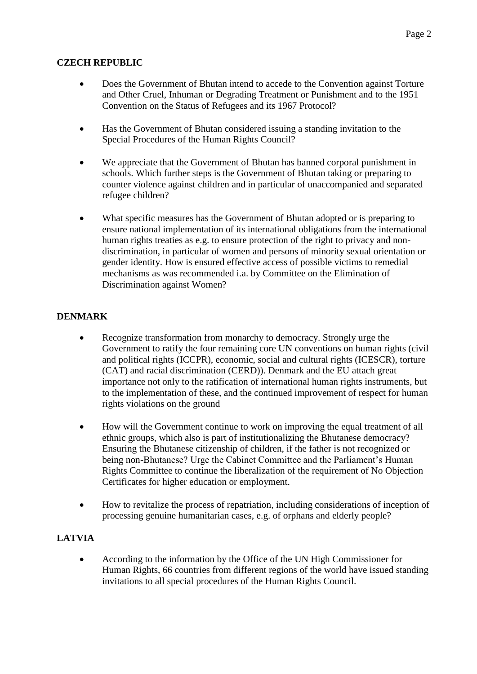# **CZECH REPUBLIC**

- Does the Government of Bhutan intend to accede to the Convention against Torture and Other Cruel, Inhuman or Degrading Treatment or Punishment and to the 1951 Convention on the Status of Refugees and its 1967 Protocol?
- Has the Government of Bhutan considered issuing a standing invitation to the Special Procedures of the Human Rights Council?
- We appreciate that the Government of Bhutan has banned corporal punishment in schools. Which further steps is the Government of Bhutan taking or preparing to counter violence against children and in particular of unaccompanied and separated refugee children?
- What specific measures has the Government of Bhutan adopted or is preparing to ensure national implementation of its international obligations from the international human rights treaties as e.g. to ensure protection of the right to privacy and nondiscrimination, in particular of women and persons of minority sexual orientation or gender identity. How is ensured effective access of possible victims to remedial mechanisms as was recommended i.a. by Committee on the Elimination of Discrimination against Women?

# **DENMARK**

- Recognize transformation from monarchy to democracy. Strongly urge the Government to ratify the four remaining core UN conventions on human rights (civil and political rights (ICCPR), economic, social and cultural rights (ICESCR), torture (CAT) and racial discrimination (CERD)). Denmark and the EU attach great importance not only to the ratification of international human rights instruments, but to the implementation of these, and the continued improvement of respect for human rights violations on the ground
- How will the Government continue to work on improving the equal treatment of all ethnic groups, which also is part of institutionalizing the Bhutanese democracy? Ensuring the Bhutanese citizenship of children, if the father is not recognized or being non-Bhutanese? Urge the Cabinet Committee and the Parliament's Human Rights Committee to continue the liberalization of the requirement of No Objection Certificates for higher education or employment.
- How to revitalize the process of repatriation, including considerations of inception of processing genuine humanitarian cases, e.g. of orphans and elderly people?

# **LATVIA**

 According to the information by the Office of the UN High Commissioner for Human Rights, 66 countries from different regions of the world have issued standing invitations to all special procedures of the Human Rights Council.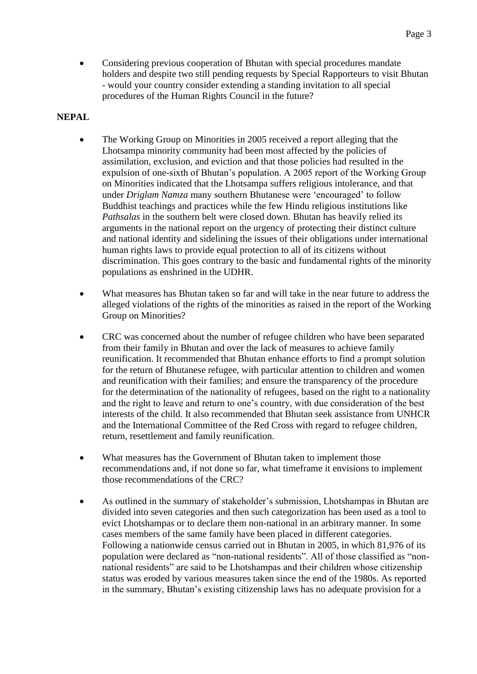• Considering previous cooperation of Bhutan with special procedures mandate holders and despite two still pending requests by Special Rapporteurs to visit Bhutan - would your country consider extending a standing invitation to all special procedures of the Human Rights Council in the future?

## **NEPAL**

- The Working Group on Minorities in 2005 received a report alleging that the Lhotsampa minority community had been most affected by the policies of assimilation, exclusion, and eviction and that those policies had resulted in the expulsion of one-sixth of Bhutan"s population. A 2005 report of the Working Group on Minorities indicated that the Lhotsampa suffers religious intolerance, and that under *Driglam Namza* many southern Bhutanese were "encouraged" to follow Buddhist teachings and practices while the few Hindu religious institutions like *Pathsalas* in the southern belt were closed down. Bhutan has heavily relied its arguments in the national report on the urgency of protecting their distinct culture and national identity and sidelining the issues of their obligations under international human rights laws to provide equal protection to all of its citizens without discrimination. This goes contrary to the basic and fundamental rights of the minority populations as enshrined in the UDHR.
- What measures has Bhutan taken so far and will take in the near future to address the alleged violations of the rights of the minorities as raised in the report of the Working Group on Minorities?
- CRC was concerned about the number of refugee children who have been separated from their family in Bhutan and over the lack of measures to achieve family reunification. It recommended that Bhutan enhance efforts to find a prompt solution for the return of Bhutanese refugee, with particular attention to children and women and reunification with their families; and ensure the transparency of the procedure for the determination of the nationality of refugees, based on the right to a nationality and the right to leave and return to one"s country, with due consideration of the best interests of the child. It also recommended that Bhutan seek assistance from UNHCR and the International Committee of the Red Cross with regard to refugee children, return, resettlement and family reunification.
- What measures has the Government of Bhutan taken to implement those recommendations and, if not done so far, what timeframe it envisions to implement those recommendations of the CRC?
- As outlined in the summary of stakeholder"s submission, Lhotshampas in Bhutan are divided into seven categories and then such categorization has been used as a tool to evict Lhotshampas or to declare them non-national in an arbitrary manner. In some cases members of the same family have been placed in different categories. Following a nationwide census carried out in Bhutan in 2005, in which 81,976 of its population were declared as "non-national residents". All of those classified as "nonnational residents" are said to be Lhotshampas and their children whose citizenship status was eroded by various measures taken since the end of the 1980s. As reported in the summary, Bhutan's existing citizenship laws has no adequate provision for a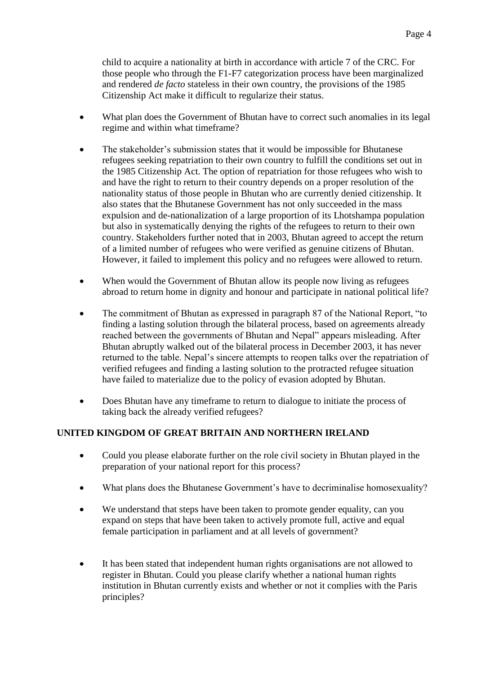child to acquire a nationality at birth in accordance with article 7 of the CRC. For those people who through the F1-F7 categorization process have been marginalized and rendered *de facto* stateless in their own country, the provisions of the 1985 Citizenship Act make it difficult to regularize their status.

- What plan does the Government of Bhutan have to correct such anomalies in its legal regime and within what timeframe?
- The stakeholder"s submission states that it would be impossible for Bhutanese refugees seeking repatriation to their own country to fulfill the conditions set out in the 1985 Citizenship Act. The option of repatriation for those refugees who wish to and have the right to return to their country depends on a proper resolution of the nationality status of those people in Bhutan who are currently denied citizenship. It also states that the Bhutanese Government has not only succeeded in the mass expulsion and de-nationalization of a large proportion of its Lhotshampa population but also in systematically denying the rights of the refugees to return to their own country. Stakeholders further noted that in 2003, Bhutan agreed to accept the return of a limited number of refugees who were verified as genuine citizens of Bhutan. However, it failed to implement this policy and no refugees were allowed to return.
- When would the Government of Bhutan allow its people now living as refugees abroad to return home in dignity and honour and participate in national political life?
- The commitment of Bhutan as expressed in paragraph 87 of the National Report, "to finding a lasting solution through the bilateral process, based on agreements already reached between the governments of Bhutan and Nepal" appears misleading. After Bhutan abruptly walked out of the bilateral process in December 2003, it has never returned to the table. Nepal"s sincere attempts to reopen talks over the repatriation of verified refugees and finding a lasting solution to the protracted refugee situation have failed to materialize due to the policy of evasion adopted by Bhutan.
- Does Bhutan have any timeframe to return to dialogue to initiate the process of taking back the already verified refugees?

# **UNITED KINGDOM OF GREAT BRITAIN AND NORTHERN IRELAND**

- Could you please elaborate further on the role civil society in Bhutan played in the preparation of your national report for this process?
- What plans does the Bhutanese Government's have to decriminalise homosexuality?
- We understand that steps have been taken to promote gender equality, can you expand on steps that have been taken to actively promote full, active and equal female participation in parliament and at all levels of government?
- It has been stated that independent human rights organisations are not allowed to register in Bhutan. Could you please clarify whether a national human rights institution in Bhutan currently exists and whether or not it complies with the Paris principles?